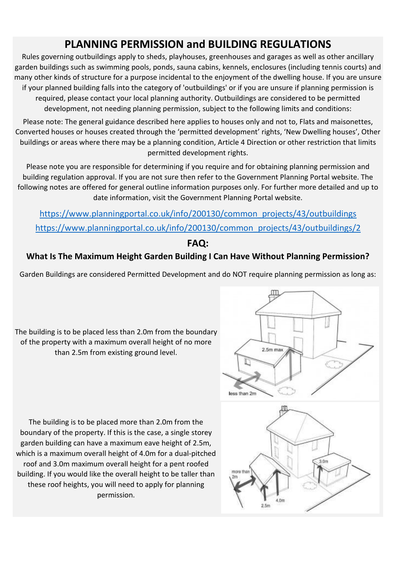# PLANNING PERMISSION and BUILDING REGULATIONS

Rules governing outbuildings apply to sheds, playhouses, greenhouses and garages as well as other ancillary garden buildings such as swimming pools, ponds, sauna cabins, kennels, enclosures (including tennis courts) and many other kinds of structure for a purpose incidental to the enjoyment of the dwelling house. If you are unsure if your planned building falls into the category of 'outbuildings' or if you are unsure if planning permission is required, please contact your local planning authority. Outbuildings are considered to be permitted development, not needing planning permission, subject to the following limits and conditions:

Please note: The general guidance described here applies to houses only and not to, Flats and maisonettes, Converted houses or houses created through the 'permitted development' rights, 'New Dwelling houses', Other buildings or areas where there may be a planning condition, Article 4 Direction or other restriction that limits permitted development rights.

Please note you are responsible for determining if you require and for obtaining planning permission and building regulation approval. If you are not sure then refer to the Government Planning Portal website. The following notes are offered for general outline information purposes only. For further more detailed and up to date information, visit the Government Planning Portal website.

https://www.planningportal.co.uk/info/200130/common\_projects/43/outbuildings https://www.planningportal.co.uk/info/200130/common\_projects/43/outbuildings/2

# FAQ:

#### What Is The Maximum Height Garden Building I Can Have Without Planning Permission?

Garden Buildings are considered Permitted Development and do NOT require planning permission as long as:

The building is to be placed less than 2.0m from the boundary of the property with a maximum overall height of no more than 2.5m from existing ground level.

The building is to be placed more than 2.0m from the boundary of the property. If this is the case, a single storey garden building can have a maximum eave height of 2.5m, which is a maximum overall height of 4.0m for a dual-pitched roof and 3.0m maximum overall height for a pent roofed building. If you would like the overall height to be taller than these roof heights, you will need to apply for planning permission.



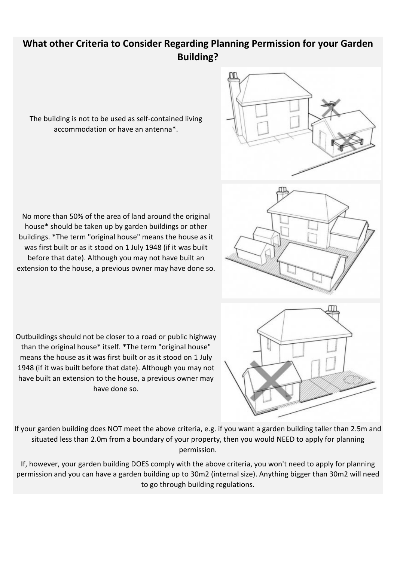## What other Criteria to Consider Regarding Planning Permission for your Garden Building?

The building is not to be used as self-contained living accommodation or have an antenna\*.

No more than 50% of the area of land around the original house\* should be taken up by garden buildings or other buildings. \*The term "original house" means the house as it was first built or as it stood on 1 July 1948 (if it was built before that date). Although you may not have built an extension to the house, a previous owner may have done so.

Outbuildings should not be closer to a road or public highway than the original house\* itself. \*The term "original house" means the house as it was first built or as it stood on 1 July 1948 (if it was built before that date). Although you may not have built an extension to the house, a previous owner may have done so.





If your garden building does NOT meet the above criteria, e.g. if you want a garden building taller than 2.5m and situated less than 2.0m from a boundary of your property, then you would NEED to apply for planning permission.

If, however, your garden building DOES comply with the above criteria, you won't need to apply for planning permission and you can have a garden building up to 30m2 (internal size). Anything bigger than 30m2 will need to go through building regulations.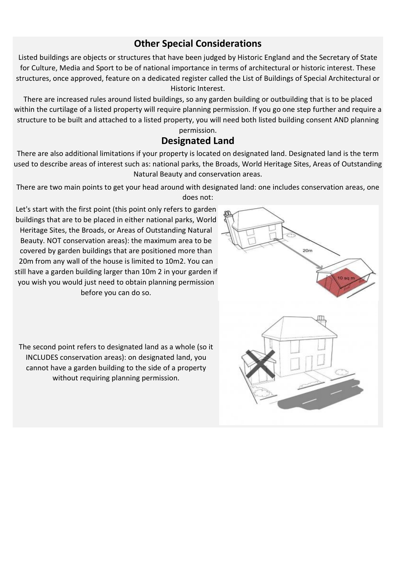#### Other Special Considerations

Listed buildings are objects or structures that have been judged by Historic England and the Secretary of State for Culture, Media and Sport to be of national importance in terms of architectural or historic interest. These structures, once approved, feature on a dedicated register called the List of Buildings of Special Architectural or Historic Interest.

There are increased rules around listed buildings, so any garden building or outbuilding that is to be placed within the curtilage of a listed property will require planning permission. If you go one step further and require a structure to be built and attached to a listed property, you will need both listed building consent AND planning permission.

## Designated Land

There are also additional limitations if your property is located on designated land. Designated land is the term used to describe areas of interest such as: national parks, the Broads, World Heritage Sites, Areas of Outstanding Natural Beauty and conservation areas.

There are two main points to get your head around with designated land: one includes conservation areas, one does not:

Let's start with the first point (this point only refers to garden buildings that are to be placed in either national parks, World Heritage Sites, the Broads, or Areas of Outstanding Natural Beauty. NOT conservation areas): the maximum area to be covered by garden buildings that are positioned more than 20m from any wall of the house is limited to 10m2. You can still have a garden building larger than 10m 2 in your garden if you wish you would just need to obtain planning permission before you can do so.

 $20<sub>m</sub>$ 

The second point refers to designated land as a whole (so it INCLUDES conservation areas): on designated land, you cannot have a garden building to the side of a property without requiring planning permission.